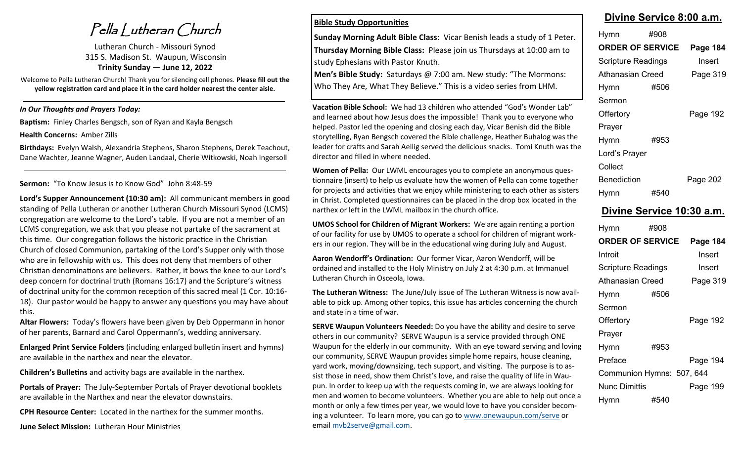Pella Lutheran Church

Lutheran Church - Missouri Synod 315 S. Madison St. Waupun, Wisconsin **Trinity Sunday — June 12, 2022**

Welcome to Pella Lutheran Church! Thank you for silencing cell phones. **Please fill out the yellow registration card and place it in the card holder nearest the center aisle.** 

#### *In Our Thoughts and Prayers Today:*

**Baptism:** Finley Charles Bengsch, son of Ryan and Kayla Bengsch

**Health Concerns:** Amber Zills

**Birthdays:** Evelyn Walsh, Alexandria Stephens, Sharon Stephens, Derek Teachout, Dane Wachter, Jeanne Wagner, Auden Landaal, Cherie Witkowski, Noah Ingersoll

#### **Sermon:** "To Know Jesus is to Know God" John 8:48-59

**Lord's Supper Announcement (10:30 am):** All communicant members in good standing of Pella Lutheran or another Lutheran Church Missouri Synod (LCMS) congregation are welcome to the Lord's table. If you are not a member of an LCMS congregation, we ask that you please not partake of the sacrament at this time. Our congregation follows the historic practice in the Christian Church of closed Communion, partaking of the Lord's Supper only with those who are in fellowship with us. This does not deny that members of other Christian denominations are believers. Rather, it bows the knee to our Lord's deep concern for doctrinal truth (Romans 16:17) and the Scripture's witness of doctrinal unity for the common reception of this sacred meal (1 Cor. 10:16- 18). Our pastor would be happy to answer any questions you may have about this.

**Altar Flowers:** Today's flowers have been given by Deb Oppermann in honor of her parents, Barnard and Carol Oppermann's, wedding anniversary.

**Enlarged Print Service Folders** (including enlarged bulletin insert and hymns) are available in the narthex and near the elevator.

**Children's Bulletins** and activity bags are available in the narthex.

**Portals of Prayer:** The July-September Portals of Prayer devotional booklets are available in the Narthex and near the elevator downstairs.

**CPH Resource Center:** Located in the narthex for the summer months.

**June Select Mission:** Lutheran Hour Ministries

#### **Bible Study Opportunities**

**Sunday Morning Adult Bible Class**: Vicar Benish leads a study of 1 Peter. **Thursday Morning Bible Class:** Please join us Thursdays at 10:00 am to study Ephesians with Pastor Knuth.

**Men's Bible Study:** Saturdays @ 7:00 am. New study: "The Mormons: Who They Are, What They Believe." This is a video series from LHM.

**Vacation Bible School:** We had 13 children who attended "God's Wonder Lab" and learned about how Jesus does the impossible! Thank you to everyone who helped. Pastor led the opening and closing each day, Vicar Benish did the Bible storytelling, Ryan Bengsch covered the Bible challenge, Heather Buhalog was the leader for crafts and Sarah Aellig served the delicious snacks. Tomi Knuth was the director and filled in where needed.

**Women of Pella:** Our LWML encourages you to complete an anonymous questionnaire (insert) to help us evaluate how the women of Pella can come together for projects and activities that we enjoy while ministering to each other as sisters in Christ. Completed questionnaires can be placed in the drop box located in the narthex or left in the LWML mailbox in the church office.

**UMOS School for Children of Migrant Workers:** We are again renting a portion of our facility for use by UMOS to operate a school for children of migrant workers in our region. They will be in the educational wing during July and August.

**Aaron Wendorff's Ordination:** Our former Vicar, Aaron Wendorff, will be ordained and installed to the Holy Ministry on July 2 at 4:30 p.m. at Immanuel Lutheran Church in Osceola, Iowa.

**The Lutheran Witness:** The June/July issue of The Lutheran Witness is now available to pick up. Among other topics, this issue has articles concerning the church and state in a time of war.

**SERVE Waupun Volunteers Needed:** Do you have the ability and desire to serve others in our community? SERVE Waupun is a service provided through ONE Waupun for the elderly in our community. With an eye toward serving and loving our community, SERVE Waupun provides simple home repairs, house cleaning, yard work, moving/downsizing, tech support, and visiting. The purpose is to assist those in need, show them Christ's love, and raise the quality of life in Waupun. In order to keep up with the requests coming in, we are always looking for men and women to become volunteers. Whether you are able to help out once a month or only a few times per year, we would love to have you consider becoming a volunteer. To learn more, you can go to [www.onewaupun.com/serve](http://www.onewaupun.com/serve) or email [mvb2serve@gmail.com.](mailto:mvb2serve@gmail.com)

# **Divine Service 8:00 a.m.**

| Hymn                      | #908 |          |
|---------------------------|------|----------|
| <b>ORDER OF SERVICE</b>   |      | Page 184 |
| <b>Scripture Readings</b> |      | Insert   |
| <b>Athanasian Creed</b>   |      | Page 319 |
| Hymn                      | #506 |          |
| Sermon                    |      |          |
| Offertory                 |      | Page 192 |
| Prayer                    |      |          |
| <b>Hymn</b>               | #953 |          |
| Lord's Prayer             |      |          |
| Collect                   |      |          |
| <b>Benediction</b>        |      | Page 202 |
| Hymn                      | #540 |          |

### **Divine Service 10:30 a.m.**

| Hymn                      | #908 |          |
|---------------------------|------|----------|
| <b>ORDER OF SERVICE</b>   |      | Page 184 |
| Introit                   |      | Insert   |
| <b>Scripture Readings</b> |      | Insert   |
| Athanasian Creed          |      | Page 319 |
| Hymn                      | #506 |          |
| Sermon                    |      |          |
| Offertory                 |      | Page 192 |
| Prayer                    |      |          |
| Hymn                      | #953 |          |
| Preface                   |      | Page 194 |
| Communion Hymns: 507, 644 |      |          |
| Nunc Dimittis             |      | Page 199 |
| Hymn                      | #540 |          |